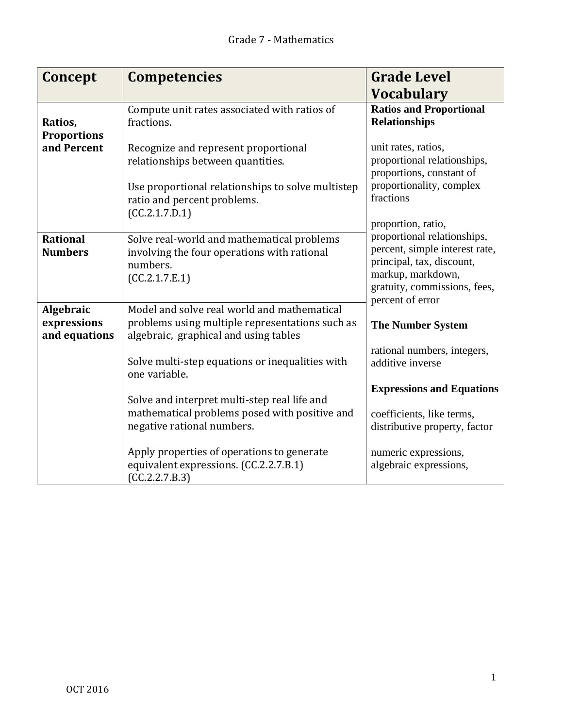| Concept                                   | <b>Competencies</b>                                                                                                                     | <b>Grade Level</b>                                                                                                                                                  |
|-------------------------------------------|-----------------------------------------------------------------------------------------------------------------------------------------|---------------------------------------------------------------------------------------------------------------------------------------------------------------------|
|                                           |                                                                                                                                         | <b>Vocabulary</b>                                                                                                                                                   |
| Ratios,<br><b>Proportions</b>             | Compute unit rates associated with ratios of<br>fractions.                                                                              | <b>Ratios and Proportional</b><br><b>Relationships</b>                                                                                                              |
| and Percent                               | Recognize and represent proportional<br>relationships between quantities.                                                               | unit rates, ratios,<br>proportional relationships,<br>proportions, constant of                                                                                      |
|                                           | Use proportional relationships to solve multistep<br>ratio and percent problems.<br>(CC.2.1.7.D.1)                                      | proportionality, complex<br>fractions<br>proportion, ratio,                                                                                                         |
| <b>Rational</b><br><b>Numbers</b>         | Solve real-world and mathematical problems<br>involving the four operations with rational<br>numbers.<br>(CC.2.1.7.E.1)                 | proportional relationships,<br>percent, simple interest rate,<br>principal, tax, discount,<br>markup, markdown,<br>gratuity, commissions, fees,<br>percent of error |
| Algebraic<br>expressions<br>and equations | Model and solve real world and mathematical<br>problems using multiple representations such as<br>algebraic, graphical and using tables | <b>The Number System</b>                                                                                                                                            |
|                                           | Solve multi-step equations or inequalities with<br>one variable.                                                                        | rational numbers, integers,<br>additive inverse                                                                                                                     |
|                                           | Solve and interpret multi-step real life and<br>mathematical problems posed with positive and<br>negative rational numbers.             | <b>Expressions and Equations</b><br>coefficients, like terms,<br>distributive property, factor                                                                      |
|                                           | Apply properties of operations to generate<br>equivalent expressions. (CC.2.2.7.B.1)<br>(CC.2.2.7.B.3)                                  | numeric expressions,<br>algebraic expressions,                                                                                                                      |